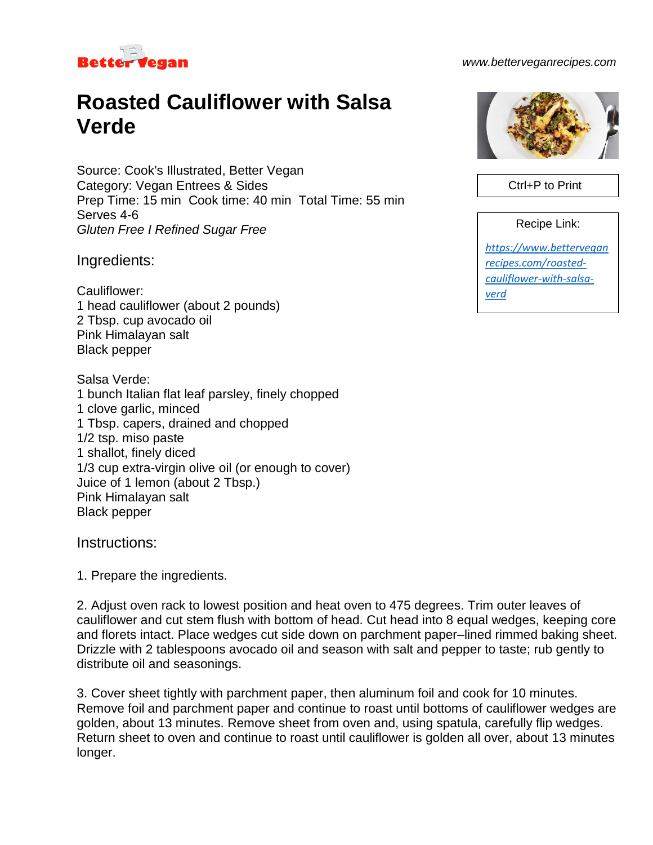

## *www.betterveganrecipes.com*

## **Roasted Cauliflower with Salsa Verde**

Source: Cook's Illustrated, Better Vegan Category: Vegan Entrees & Sides Prep Time: 15 min Cook time: 40 min Total Time: 55 min Serves 4-6 *Gluten Free I Refined Sugar Free*

Ingredients:

Cauliflower: 1 head cauliflower (about 2 pounds) 2 Tbsp. cup avocado oil Pink Himalayan salt Black pepper

Salsa Verde: 1 bunch Italian flat leaf parsley, finely chopped 1 clove garlic, minced 1 Tbsp. capers, drained and chopped 1/2 tsp. miso paste 1 shallot, finely diced 1/3 cup extra-virgin olive oil (or enough to cover) Juice of 1 lemon (about 2 Tbsp.) Pink Himalayan salt Black pepper

Instructions:

1. Prepare the ingredients.

2. Adjust oven rack to lowest position and heat oven to 475 degrees. Trim outer leaves of cauliflower and cut stem flush with bottom of head. Cut head into 8 equal wedges, keeping core and florets intact. Place wedges cut side down on parchment paper–lined rimmed baking sheet. Drizzle with 2 tablespoons avocado oil and season with salt and pepper to taste; rub gently to distribute oil and seasonings.

3. Cover sheet tightly with parchment paper, then aluminum foil and cook for 10 minutes. Remove foil and parchment paper and continue to roast until bottoms of cauliflower wedges are golden, about 13 minutes. Remove sheet from oven and, using spatula, carefully flip wedges. Return sheet to oven and continue to roast until cauliflower is golden all over, about 13 minutes longer.



Ctrl+P to Print

Recipe Link:

*[https://www.bettervegan](https://www.betterveganrecipes.com/roasted-cauliflower-with-salsa-verd) [recipes.com/roasted](https://www.betterveganrecipes.com/roasted-cauliflower-with-salsa-verd)[cauliflower-with-salsa](https://www.betterveganrecipes.com/roasted-cauliflower-with-salsa-verd)[verd](https://www.betterveganrecipes.com/roasted-cauliflower-with-salsa-verd)*